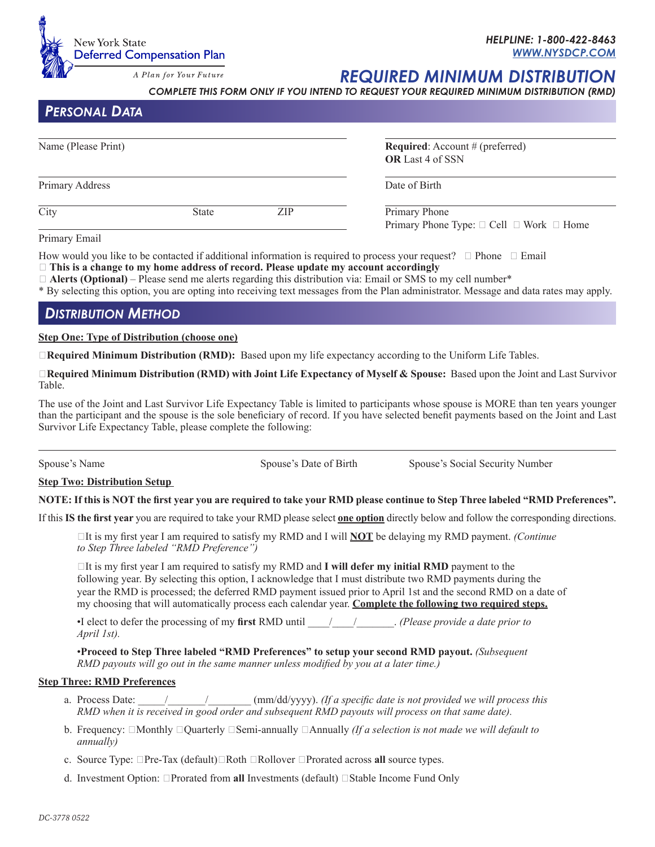

## *HELPLINE: 1-800-422-8463 WWW.NYSDCP.COM*

*REQUIRED MINIMUM DISTRIBUTI* 

*COMPLETE THIS FORM ONLY IF YOU INTEND TO REQUEST YOUR REQUIRED MINIMUM DISTRIBUTION (RMD)*

*Personal Data*

| Name (Please Print)<br>Primary Address |  |  | <b>Required:</b> Account $#$ (preferred)<br><b>OR</b> Last 4 of SSN<br>Date of Birth |
|----------------------------------------|--|--|--------------------------------------------------------------------------------------|
|                                        |  |  |                                                                                      |

How would you like to be contacted if additional information is required to process your request?  $\Box$  Phone  $\Box$  Email

**This is a change to my home address of record. Please update my account accordingly**

 $\Box$  **Alerts (Optional)** – Please send me alerts regarding this distribution via: Email or SMS to my cell number\*

\* By selecting this option, you are opting into receiving text messages from the Plan administrator. Message and data rates may apply.

# *Distribution Method*

**Step One: Type of Distribution (choose one)**

□**Required Minimum Distribution (RMD):** Based upon my life expectancy according to the Uniform Life Tables.

**Required Minimum Distribution (RMD) with Joint Life Expectancy of Myself & Spouse:** Based upon the Joint and Last Survivor Table.

The use of the Joint and Last Survivor Life Expectancy Table is limited to participants whose spouse is MORE than ten years younger than the participant and the spouse is the sole beneficiary of record. If you have selected benefit payments based on the Joint and Last Survivor Life Expectancy Table, please complete the following:

 $\overline{a}$ 

Spouse's Name Spouse's Date of Birth Spouse's Social Security Number

## **Step Two: Distribution Setup**

**NOTE: If this is NOT the first year you are required to take your RMD please continue to Step Three labeled "RMD Preferences".** 

If this **IS the first year** you are required to take your RMD please select **one option** directly below and follow the corresponding directions.

It is my first year I am required to satisfy my RMD and I will **NOT** be delaying my RMD payment. *(Continue to Step Three labeled "RMD Preference")* 

 $\Box$ It is my first year I am required to satisfy my RMD and **I will defer my initial RMD** payment to the following year. By selecting this option, I acknowledge that I must distribute two RMD payments during the year the RMD is processed; the deferred RMD payment issued prior to April 1st and the second RMD on a date of my choosing that will automatically process each calendar year. **Complete the following two required steps.**

•I elect to defer the processing of my **first** RMD until \_\_\_\_/\_\_\_\_/\_\_\_\_\_\_\_. *(Please provide a date prior to April 1st).*

•**Proceed to Step Three labeled "RMD Preferences" to setup your second RMD payout.** *(Subsequent RMD payouts will go out in the same manner unless modified by you at a later time.)*

## **Step Three: RMD Preferences**

- a. Process Date:  $\frac{1}{\sqrt{1-\frac{1}{\pi}}}$  (mm/dd/yyyy). *(If a specific date is not provided we will process this RMD when it is received in good order and subsequent RMD payouts will process on that same date).*
- b. Frequency:  $\Box$ Monthly  $\Box$ Quarterly  $\Box$ Semi-annually  $\Box$ Annually *(If a selection is not made we will default to annually)*
- c. Source Type:  $\Box$ Pre-Tax (default) $\Box$ Roth  $\Box$ Rollover  $\Box$ Prorated across all source types.
- d. Investment Option:  $\Box$ Prorated from **all** Investments (default)  $\Box$  Stable Income Fund Only